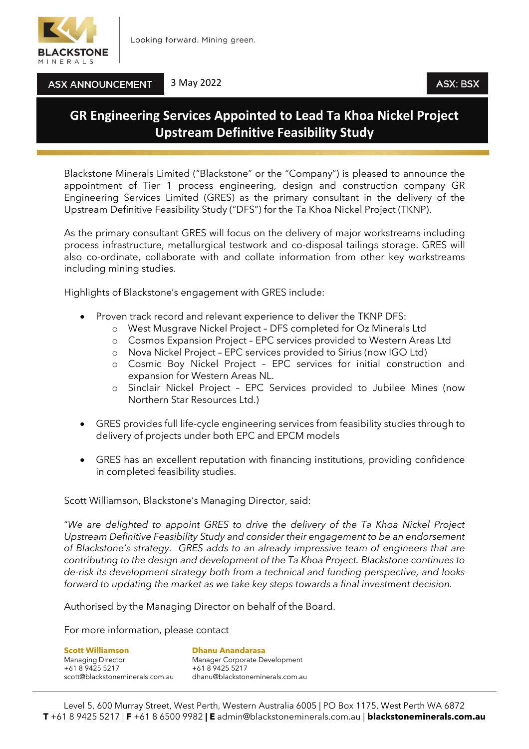

3 May 2022

ASX: BSX

## **ASX ANNOUNCEMENT**

## **GR Engineering Services Appointed to Lead Ta Khoa Nickel Project Upstream Definitive Feasibility Study**

Blackstone Minerals Limited ("Blackstone" or the "Company") is pleased to announce the appointment of Tier 1 process engineering, design and construction company GR Engineering Services Limited (GRES) as the primary consultant in the delivery of the Upstream Definitive Feasibility Study ("DFS") for the Ta Khoa Nickel Project (TKNP).

As the primary consultant GRES will focus on the delivery of major workstreams including process infrastructure, metallurgical testwork and co-disposal tailings storage. GRES will also co-ordinate, collaborate with and collate information from other key workstreams including mining studies.

Highlights of Blackstone's engagement with GRES include:

- Proven track record and relevant experience to deliver the TKNP DFS:
	- o West Musgrave Nickel Project DFS completed for Oz Minerals Ltd
	- o Cosmos Expansion Project EPC services provided to Western Areas Ltd
	- o Nova Nickel Project EPC services provided to Sirius (now IGO Ltd)
	- o Cosmic Boy Nickel Project EPC services for initial construction and expansion for Western Areas NL.
	- o Sinclair Nickel Project EPC Services provided to Jubilee Mines (now Northern Star Resources Ltd.)
- GRES provides full life-cycle engineering services from feasibility studies through to delivery of projects under both EPC and EPCM models
- GRES has an excellent reputation with financing institutions, providing confidence in completed feasibility studies.

Scott Williamson, Blackstone's Managing Director, said:

"*We are delighted to appoint GRES to drive the delivery of the Ta Khoa Nickel Project Upstream Definitive Feasibility Study and consider their engagement to be an endorsement of Blackstone's strategy. GRES adds to an already impressive team of engineers that are contributing to the design and development of the Ta Khoa Project. Blackstone continues to de-risk its development strategy both from a technical and funding perspective, and looks forward to updating the market as we take key steps towards a final investment decision.*

Authorised by the Managing Director on behalf of the Board.

For more information, please contact

**Scott Williamson Dhanu Anandarasa** Managing Director Manager Corporate Development +61 8 9425 5217 +61 8 9425 5217

scott@blackstoneminerals.com.au dhanu@blackstoneminerals.com.au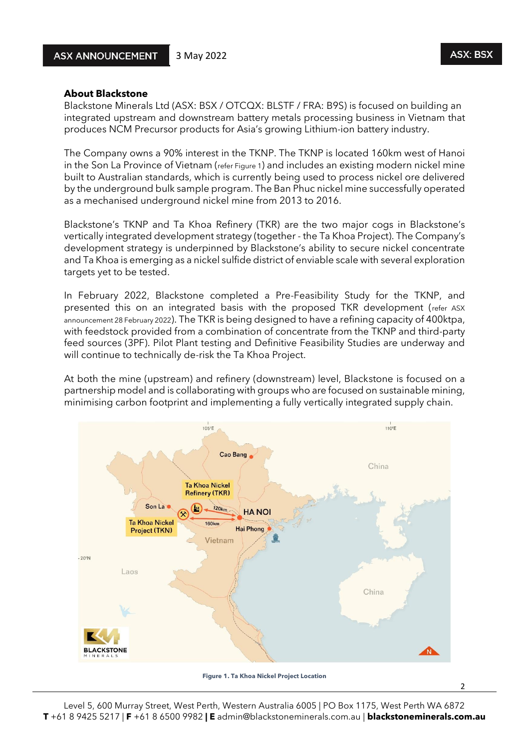2

## **About Blackstone**

Blackstone Minerals Ltd (ASX: BSX / OTCQX: BLSTF / FRA: B9S) is focused on building an integrated upstream and downstream battery metals processing business in Vietnam that produces NCM Precursor products for Asia's growing Lithium-ion battery industry.

The Company owns a 90% interest in the TKNP. The TKNP is located 160km west of Hanoi in the Son La Province of Vietnam (refer Figure 1) and includes an existing modern nickel mine built to Australian standards, which is currently being used to process nickel ore delivered by the underground bulk sample program. The Ban Phuc nickel mine successfully operated as a mechanised underground nickel mine from 2013 to 2016.

Blackstone's TKNP and Ta Khoa Refinery (TKR) are the two major cogs in Blackstone's vertically integrated development strategy (together - the Ta Khoa Project). The Company's development strategy is underpinned by Blackstone's ability to secure nickel concentrate and Ta Khoa is emerging as a nickel sulfide district of enviable scale with several exploration targets yet to be tested.

In February 2022, Blackstone completed a Pre-Feasibility Study for the TKNP, and presented this on an integrated basis with the proposed TKR development (refer ASX announcement 28 February 2022). The TKR is being designed to have a refining capacity of 400ktpa, with feedstock provided from a combination of concentrate from the TKNP and third-party feed sources (3PF). Pilot Plant testing and Definitive Feasibility Studies are underway and will continue to technically de-risk the Ta Khoa Project.

At both the mine (upstream) and refinery (downstream) level, Blackstone is focused on a partnership model and is collaborating with groups who are focused on sustainable mining, minimising carbon footprint and implementing a fully vertically integrated supply chain.



**Figure 1. Ta Khoa Nickel Project Location**